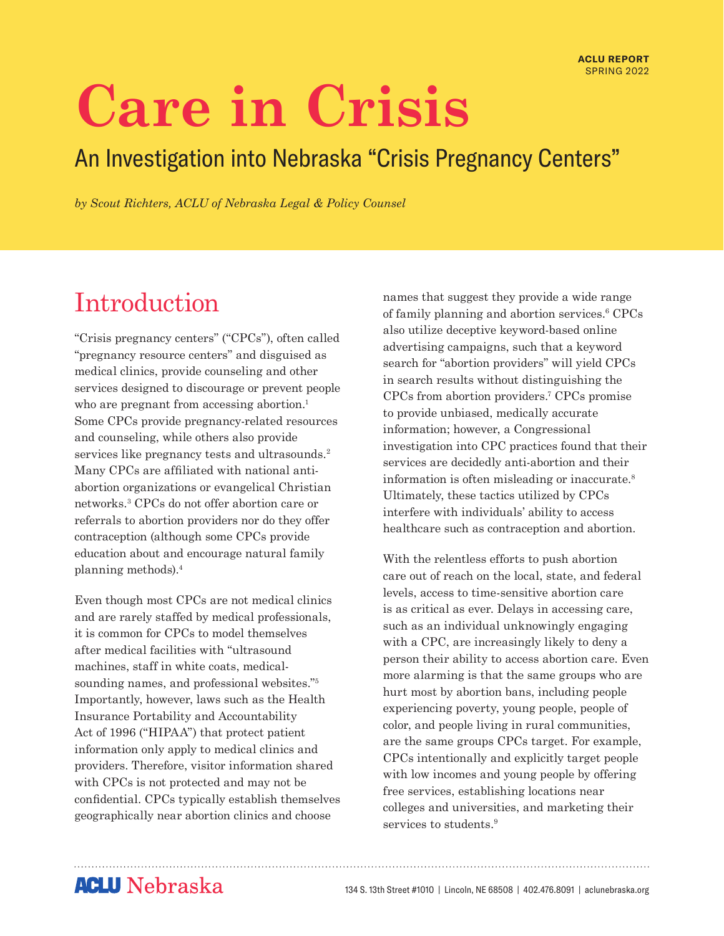# **Care in Crisis**

### An Investigation into Nebraska "Crisis Pregnancy Centers"

*by Scout Richters, ACLU of Nebraska Legal & Policy Counsel*

### Introduction

"Crisis pregnancy centers" ("CPCs"), often called "pregnancy resource centers" and disguised as medical clinics, provide counseling and other services designed to discourage or prevent people who are pregnant from accessing abortion.<sup>1</sup> Some CPCs provide pregnancy-related resources and counseling, while others also provide services like pregnancy tests and ultrasounds.<sup>2</sup> Many CPCs are affiliated with national antiabortion organizations or evangelical Christian networks.3 CPCs do not offer abortion care or referrals to abortion providers nor do they offer contraception (although some CPCs provide education about and encourage natural family planning methods).4

Even though most CPCs are not medical clinics and are rarely staffed by medical professionals, it is common for CPCs to model themselves after medical facilities with "ultrasound machines, staff in white coats, medicalsounding names, and professional websites."5 Importantly, however, laws such as the Health Insurance Portability and Accountability Act of 1996 ("HIPAA") that protect patient information only apply to medical clinics and providers. Therefore, visitor information shared with CPCs is not protected and may not be confidential. CPCs typically establish themselves geographically near abortion clinics and choose

names that suggest they provide a wide range of family planning and abortion services.6 CPCs also utilize deceptive keyword-based online advertising campaigns, such that a keyword search for "abortion providers" will yield CPCs in search results without distinguishing the CPCs from abortion providers.7 CPCs promise to provide unbiased, medically accurate information; however, a Congressional investigation into CPC practices found that their services are decidedly anti-abortion and their information is often misleading or inaccurate.8 Ultimately, these tactics utilized by CPCs interfere with individuals' ability to access healthcare such as contraception and abortion.

With the relentless efforts to push abortion care out of reach on the local, state, and federal levels, access to time-sensitive abortion care is as critical as ever. Delays in accessing care, such as an individual unknowingly engaging with a CPC, are increasingly likely to deny a person their ability to access abortion care. Even more alarming is that the same groups who are hurt most by abortion bans, including people experiencing poverty, young people, people of color, and people living in rural communities, are the same groups CPCs target. For example, CPCs intentionally and explicitly target people with low incomes and young people by offering free services, establishing locations near colleges and universities, and marketing their services to students.<sup>9</sup>

### **ACLU** Nebraska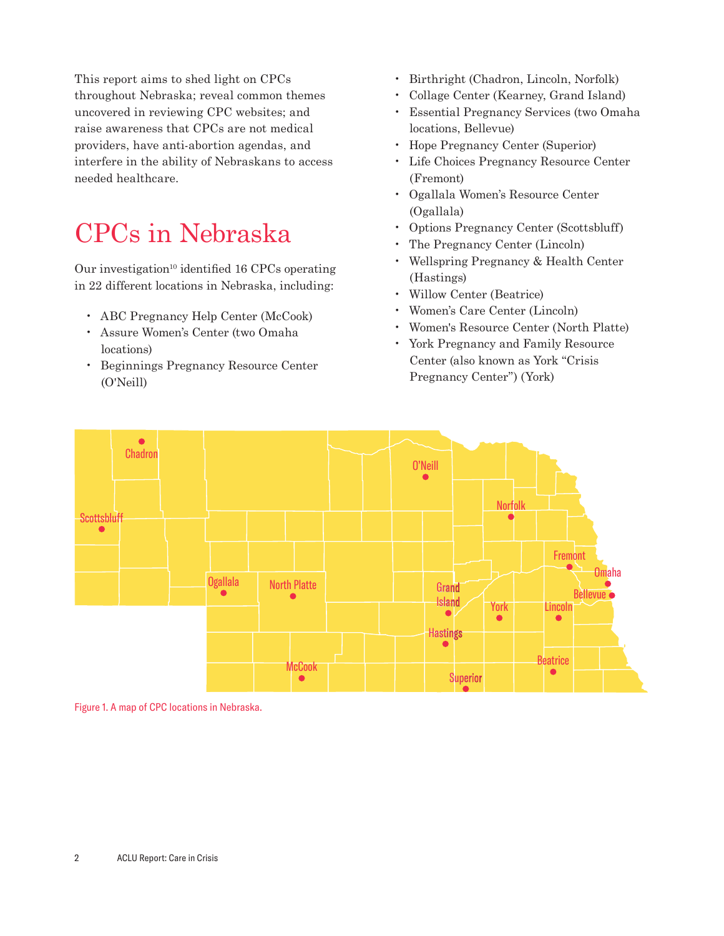This report aims to shed light on CPCs throughout Nebraska; reveal common themes uncovered in reviewing CPC websites; and raise awareness that CPCs are not medical providers, have anti-abortion agendas, and interfere in the ability of Nebraskans to access needed healthcare.

# CPCs in Nebraska

Our investigation<sup>10</sup> identified 16 CPCs operating in 22 different locations in Nebraska, including:

- ABC Pregnancy Help Center (McCook)
- Assure Women's Center (two Omaha locations)
- Beginnings Pregnancy Resource Center (O'Neill)
- Birthright (Chadron, Lincoln, Norfolk)
- Collage Center (Kearney, Grand Island)
- Essential Pregnancy Services (two Omaha locations, Bellevue)
- Hope Pregnancy Center (Superior)
- Life Choices Pregnancy Resource Center (Fremont)
- Ogallala Women's Resource Center (Ogallala)
- Options Pregnancy Center (Scottsbluff)
- The Pregnancy Center (Lincoln)
- Wellspring Pregnancy & Health Center (Hastings)
- Willow Center (Beatrice)
- Women's Care Center (Lincoln)
- Women's Resource Center (North Platte)
- York Pregnancy and Family Resource Center (also known as York "Crisis Pregnancy Center") (York)



Figure 1. A map of CPC locations in Nebraska.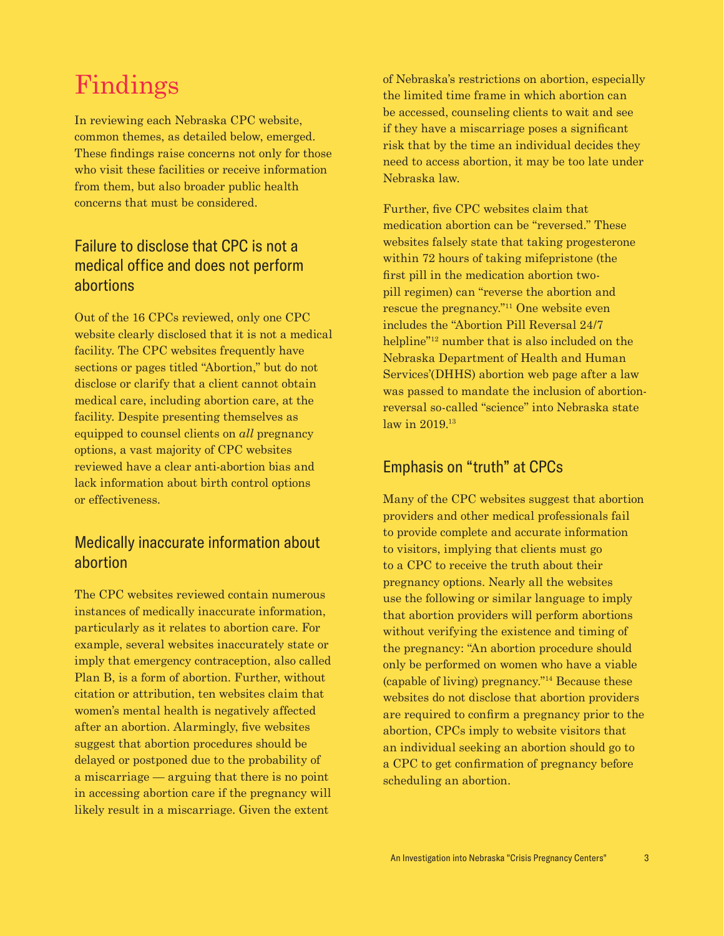### Findings

In reviewing each Nebraska CPC website, common themes, as detailed below, emerged. These findings raise concerns not only for those who visit these facilities or receive information from them, but also broader public health concerns that must be considered.

#### Failure to disclose that CPC is not a medical office and does not perform abortions

Out of the 16 CPCs reviewed, only one CPC website clearly disclosed that it is not a medical facility. The CPC websites frequently have sections or pages titled "Abortion," but do not disclose or clarify that a client cannot obtain medical care, including abortion care, at the facility. Despite presenting themselves as equipped to counsel clients on *all* pregnancy options, a vast majority of CPC websites reviewed have a clear anti-abortion bias and lack information about birth control options or effectiveness.

#### Medically inaccurate information about abortion

The CPC websites reviewed contain numerous instances of medically inaccurate information, particularly as it relates to abortion care. For example, several websites inaccurately state or imply that emergency contraception, also called Plan B, is a form of abortion. Further, without citation or attribution, ten websites claim that women's mental health is negatively affected after an abortion. Alarmingly, five websites suggest that abortion procedures should be delayed or postponed due to the probability of a miscarriage — arguing that there is no point in accessing abortion care if the pregnancy will likely result in a miscarriage. Given the extent

of Nebraska's restrictions on abortion, especially the limited time frame in which abortion can be accessed, counseling clients to wait and see if they have a miscarriage poses a significant risk that by the time an individual decides they need to access abortion, it may be too late under Nebraska law.

Further, five CPC websites claim that medication abortion can be "reversed." These websites falsely state that taking progesterone within 72 hours of taking mifepristone (the first pill in the medication abortion twopill regimen) can "reverse the abortion and rescue the pregnancy."11 One website even includes the "Abortion Pill Reversal 24/7 helpline"12 number that is also included on the Nebraska Department of Health and Human Services'(DHHS) abortion web page after a law was passed to mandate the inclusion of abortionreversal so-called "science" into Nebraska state law in 2019.<sup>13</sup>

#### Emphasis on "truth" at CPCs

Many of the CPC websites suggest that abortion providers and other medical professionals fail to provide complete and accurate information to visitors, implying that clients must go to a CPC to receive the truth about their pregnancy options. Nearly all the websites use the following or similar language to imply that abortion providers will perform abortions without verifying the existence and timing of the pregnancy: "An abortion procedure should only be performed on women who have a viable (capable of living) pregnancy."14 Because these websites do not disclose that abortion providers are required to confirm a pregnancy prior to the abortion, CPCs imply to website visitors that an individual seeking an abortion should go to a CPC to get confirmation of pregnancy before scheduling an abortion.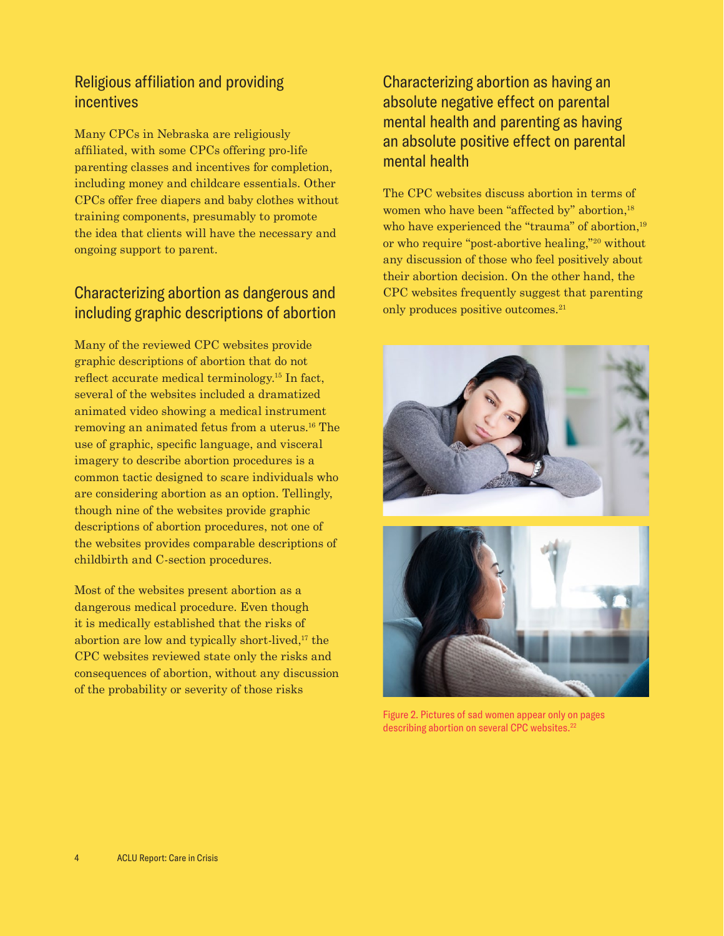#### Religious affiliation and providing incentives

Many CPCs in Nebraska are religiously affiliated, with some CPCs offering pro-life parenting classes and incentives for completion, including money and childcare essentials. Other CPCs offer free diapers and baby clothes without training components, presumably to promote the idea that clients will have the necessary and ongoing support to parent.

#### Characterizing abortion as dangerous and including graphic descriptions of abortion

Many of the reviewed CPC websites provide graphic descriptions of abortion that do not reflect accurate medical terminology.15 In fact, several of the websites included a dramatized animated video showing a medical instrument removing an animated fetus from a uterus.16 The use of graphic, specific language, and visceral imagery to describe abortion procedures is a common tactic designed to scare individuals who are considering abortion as an option. Tellingly, though nine of the websites provide graphic descriptions of abortion procedures, not one of the websites provides comparable descriptions of childbirth and C-section procedures.

Most of the websites present abortion as a dangerous medical procedure. Even though it is medically established that the risks of abortion are low and typically short-lived, $17$  the CPC websites reviewed state only the risks and consequences of abortion, without any discussion of the probability or severity of those risks

#### Characterizing abortion as having an absolute negative effect on parental mental health and parenting as having an absolute positive effect on parental mental health

The CPC websites discuss abortion in terms of women who have been "affected by" abortion,<sup>18</sup> who have experienced the "trauma" of abortion,<sup>19</sup> or who require "post-abortive healing,"20 without any discussion of those who feel positively about their abortion decision. On the other hand, the CPC websites frequently suggest that parenting only produces positive outcomes.<sup>21</sup>



Figure 2. Pictures of sad women appear only on pages describing abortion on several CPC websites.<sup>22</sup>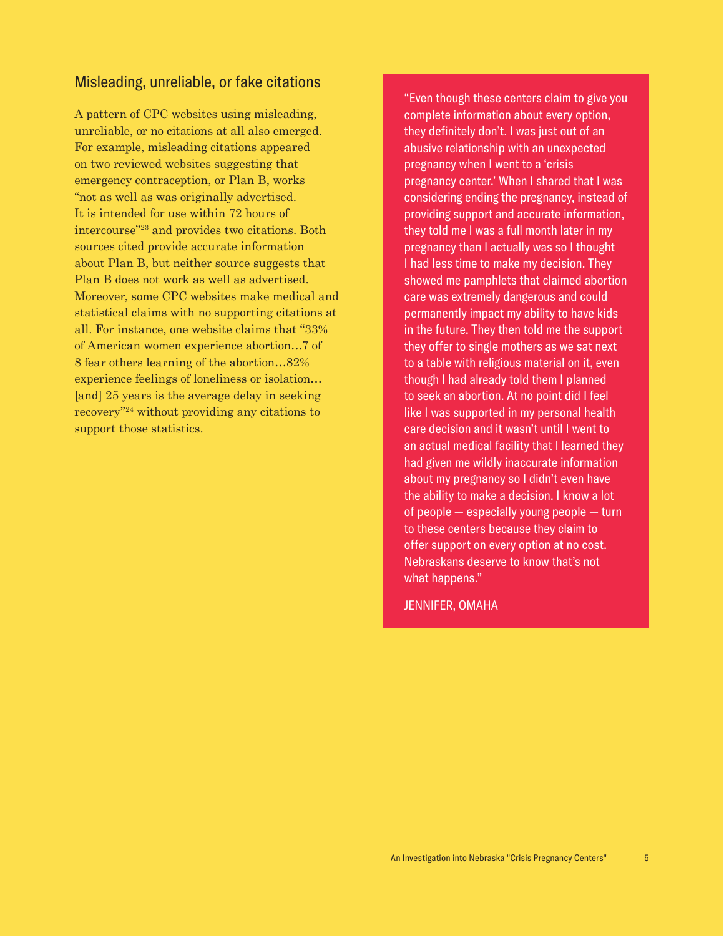#### Misleading, unreliable, or fake citations

A pattern of CPC websites using misleading, unreliable, or no citations at all also emerged. For example, misleading citations appeared on two reviewed websites suggesting that emergency contraception, or Plan B, works "not as well as was originally advertised. It is intended for use within 72 hours of intercourse"23 and provides two citations. Both sources cited provide accurate information about Plan B, but neither source suggests that Plan B does not work as well as advertised. Moreover, some CPC websites make medical and statistical claims with no supporting citations at all. For instance, one website claims that "33% of American women experience abortion…7 of 8 fear others learning of the abortion…82% experience feelings of loneliness or isolation… [and] 25 years is the average delay in seeking recovery"24 without providing any citations to support those statistics.

"Even though these centers claim to give you complete information about every option, they definitely don't. I was just out of an abusive relationship with an unexpected pregnancy when I went to a 'crisis pregnancy center.' When I shared that I was considering ending the pregnancy, instead of providing support and accurate information, they told me I was a full month later in my pregnancy than I actually was so I thought I had less time to make my decision. They showed me pamphlets that claimed abortion care was extremely dangerous and could permanently impact my ability to have kids in the future. They then told me the support they offer to single mothers as we sat next to a table with religious material on it, even though I had already told them I planned to seek an abortion. At no point did I feel like I was supported in my personal health care decision and it wasn't until I went to an actual medical facility that I learned they had given me wildly inaccurate information about my pregnancy so I didn't even have the ability to make a decision. I know a lot of people — especially young people — turn to these centers because they claim to offer support on every option at no cost. Nebraskans deserve to know that's not what happens."

JENNIFER, OMAHA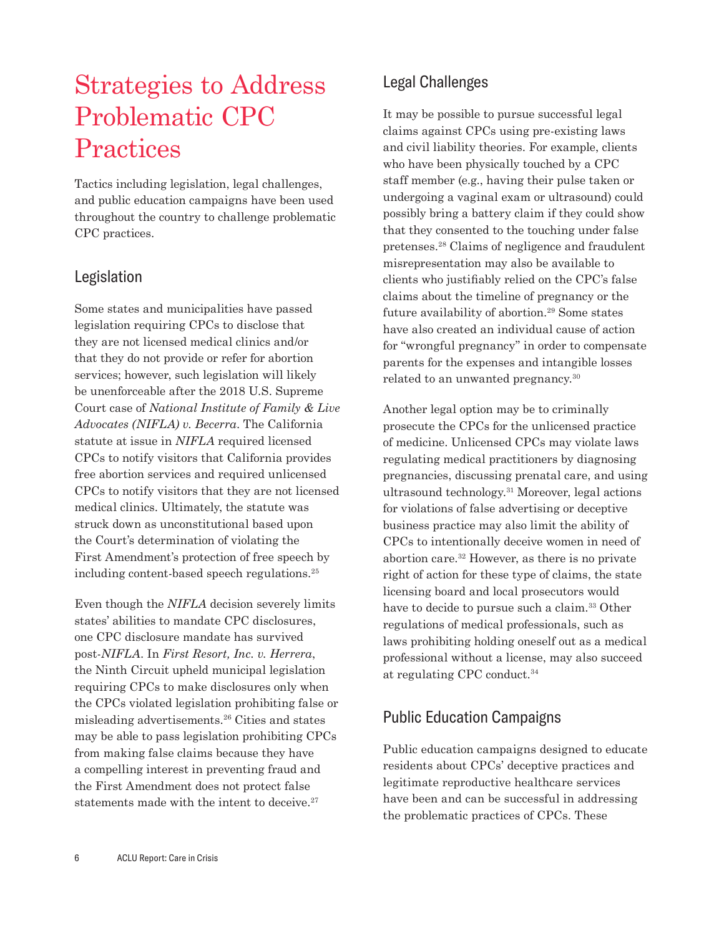## Strategies to Address Problematic CPC **Practices**

Tactics including legislation, legal challenges, and public education campaigns have been used throughout the country to challenge problematic CPC practices.

#### Legislation

Some states and municipalities have passed legislation requiring CPCs to disclose that they are not licensed medical clinics and/or that they do not provide or refer for abortion services; however, such legislation will likely be unenforceable after the 2018 U.S. Supreme Court case of *National Institute of Family & Live Advocates (NIFLA) v. Becerra*. The California statute at issue in *NIFLA* required licensed CPCs to notify visitors that California provides free abortion services and required unlicensed CPCs to notify visitors that they are not licensed medical clinics. Ultimately, the statute was struck down as unconstitutional based upon the Court's determination of violating the First Amendment's protection of free speech by including content-based speech regulations.25

Even though the *NIFLA* decision severely limits states' abilities to mandate CPC disclosures, one CPC disclosure mandate has survived post-*NIFLA*. In *First Resort, Inc. v. Herrera*, the Ninth Circuit upheld municipal legislation requiring CPCs to make disclosures only when the CPCs violated legislation prohibiting false or misleading advertisements.26 Cities and states may be able to pass legislation prohibiting CPCs from making false claims because they have a compelling interest in preventing fraud and the First Amendment does not protect false statements made with the intent to deceive. $27$ 

### Legal Challenges

It may be possible to pursue successful legal claims against CPCs using pre-existing laws and civil liability theories. For example, clients who have been physically touched by a CPC staff member (e.g., having their pulse taken or undergoing a vaginal exam or ultrasound) could possibly bring a battery claim if they could show that they consented to the touching under false pretenses.28 Claims of negligence and fraudulent misrepresentation may also be available to clients who justifiably relied on the CPC's false claims about the timeline of pregnancy or the future availability of abortion.29 Some states have also created an individual cause of action for "wrongful pregnancy" in order to compensate parents for the expenses and intangible losses related to an unwanted pregnancy.30

Another legal option may be to criminally prosecute the CPCs for the unlicensed practice of medicine. Unlicensed CPCs may violate laws regulating medical practitioners by diagnosing pregnancies, discussing prenatal care, and using ultrasound technology.31 Moreover, legal actions for violations of false advertising or deceptive business practice may also limit the ability of CPCs to intentionally deceive women in need of abortion care.32 However, as there is no private right of action for these type of claims, the state licensing board and local prosecutors would have to decide to pursue such a claim.<sup>33</sup> Other regulations of medical professionals, such as laws prohibiting holding oneself out as a medical professional without a license, may also succeed at regulating CPC conduct.34

#### Public Education Campaigns

Public education campaigns designed to educate residents about CPCs' deceptive practices and legitimate reproductive healthcare services have been and can be successful in addressing the problematic practices of CPCs. These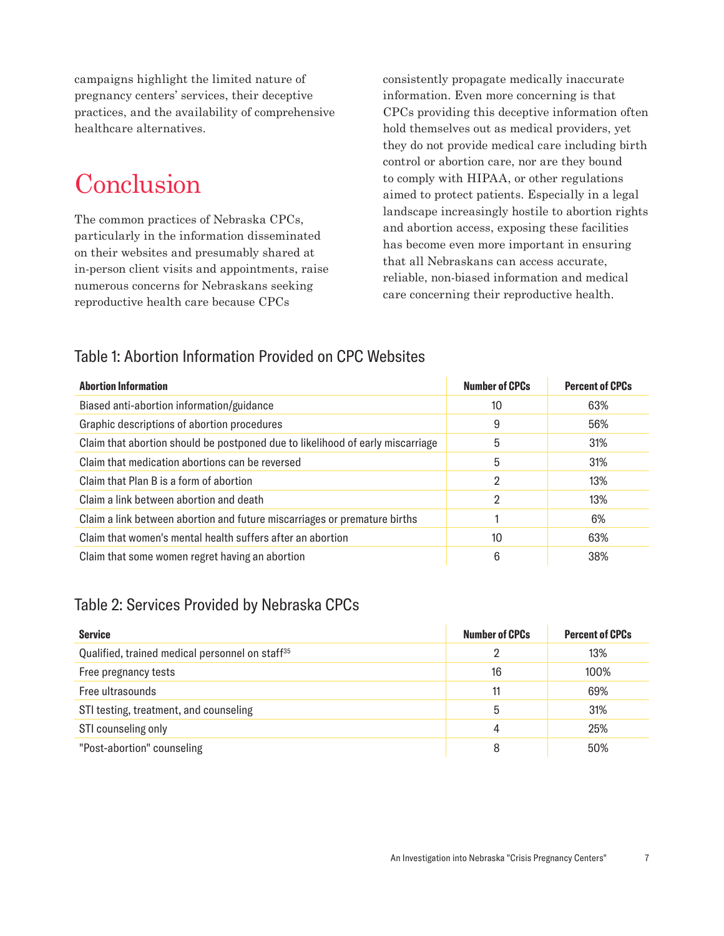campaigns highlight the limited nature of pregnancy centers' services, their deceptive practices, and the availability of comprehensive healthcare alternatives.

### **Conclusion**

The common practices of Nebraska CPCs, particularly in the information disseminated on their websites and presumably shared at in-person client visits and appointments, raise numerous concerns for Nebraskans seeking reproductive health care because CPCs

consistently propagate medically inaccurate information. Even more concerning is that CPCs providing this deceptive information often hold themselves out as medical providers, yet they do not provide medical care including birth control or abortion care, nor are they bound to comply with HIPAA, or other regulations aimed to protect patients. Especially in a legal landscape increasingly hostile to abortion rights and abortion access, exposing these facilities has become even more important in ensuring that all Nebraskans can access accurate, reliable, non-biased information and medical care concerning their reproductive health.

#### Table 1: Abortion Information Provided on CPC Websites

| <b>Abortion Information</b>                                                    | <b>Number of CPCs</b> | <b>Percent of CPCs</b> |
|--------------------------------------------------------------------------------|-----------------------|------------------------|
| Biased anti-abortion information/guidance                                      | 10                    | 63%                    |
| Graphic descriptions of abortion procedures                                    | 9                     | 56%                    |
| Claim that abortion should be postponed due to likelihood of early miscarriage | 5                     | 31%                    |
| Claim that medication abortions can be reversed                                | 5                     | 31%                    |
| Claim that Plan B is a form of abortion                                        | 2                     | 13%                    |
| Claim a link between abortion and death                                        | 2                     | 13%                    |
| Claim a link between abortion and future miscarriages or premature births      |                       | 6%                     |
| Claim that women's mental health suffers after an abortion                     | 10                    | 63%                    |
| Claim that some women regret having an abortion                                | 6                     | 38%                    |

#### Table 2: Services Provided by Nebraska CPCs

| <b>Service</b>                                              | <b>Number of CPCs</b> | <b>Percent of CPCs</b> |
|-------------------------------------------------------------|-----------------------|------------------------|
| Qualified, trained medical personnel on staff <sup>35</sup> |                       | 13%                    |
| Free pregnancy tests                                        | 16                    | 100%                   |
| Free ultrasounds                                            | 11                    | 69%                    |
| STI testing, treatment, and counseling                      | 5                     | 31%                    |
| STI counseling only                                         | 4                     | 25%                    |
| "Post-abortion" counseling                                  | 8                     | 50%                    |